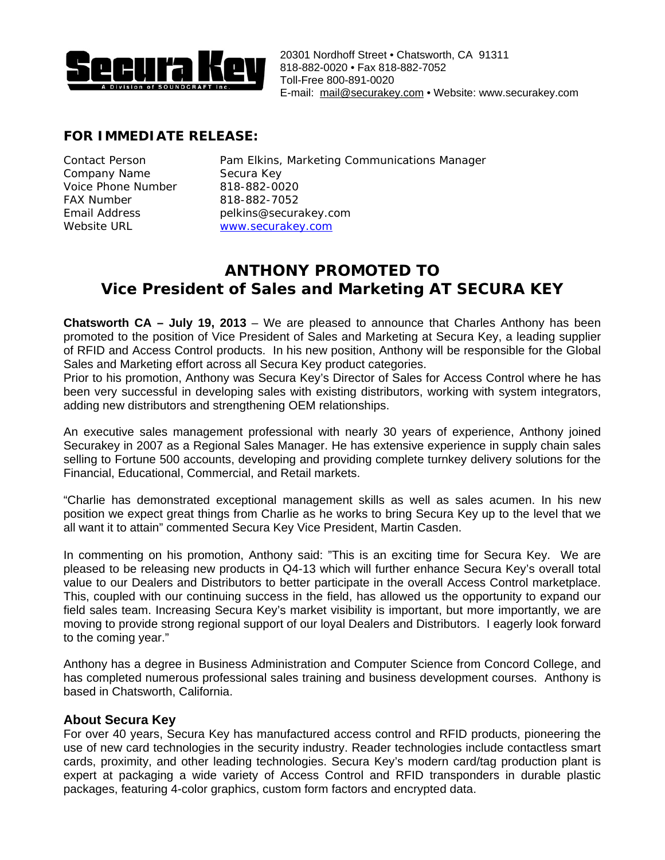

## **FOR IMMEDIATE RELEASE:**

| <b>Contact Person</b> |
|-----------------------|
| Company Name          |
| Voice Phone Number    |
| <b>FAX Number</b>     |
| Email Address         |
| Website URL           |

Pam Elkins, Marketing Communications Manager Secura Key 818-882-0020 FAX Number 818-882-7052 pelkins@securakey.com [www.securakey.com](http://www.securakey.com/)

## **ANTHONY PROMOTED TO Vice President of Sales and Marketing AT SECURA KEY**

**Chatsworth CA – July 19, 2013** – We are pleased to announce that Charles Anthony has been promoted to the position of Vice President of Sales and Marketing at Secura Key, a leading supplier of RFID and Access Control products. In his new position, Anthony will be responsible for the Global Sales and Marketing effort across all Secura Key product categories.

Prior to his promotion, Anthony was Secura Key's Director of Sales for Access Control where he has been very successful in developing sales with existing distributors, working with system integrators, adding new distributors and strengthening OEM relationships.

An executive sales management professional with nearly 30 years of experience, Anthony joined Securakey in 2007 as a Regional Sales Manager. He has extensive experience in supply chain sales selling to Fortune 500 accounts, developing and providing complete turnkey delivery solutions for the Financial, Educational, Commercial, and Retail markets.

"Charlie has demonstrated exceptional management skills as well as sales acumen. In his new position we expect great things from Charlie as he works to bring Secura Key up to the level that we all want it to attain" commented Secura Key Vice President, Martin Casden.

In commenting on his promotion, Anthony said: "This is an exciting time for Secura Key. We are pleased to be releasing new products in Q4-13 which will further enhance Secura Key's overall total value to our Dealers and Distributors to better participate in the overall Access Control marketplace. This, coupled with our continuing success in the field, has allowed us the opportunity to expand our field sales team. Increasing Secura Key's market visibility is important, but more importantly, we are moving to provide strong regional support of our loyal Dealers and Distributors. I eagerly look forward to the coming year."

Anthony has a degree in Business Administration and Computer Science from Concord College, and has completed numerous professional sales training and business development courses. Anthony is based in Chatsworth, California.

## **About Secura Key**

For over 40 years, Secura Key has manufactured access control and RFID products, pioneering the use of new card technologies in the security industry. Reader technologies include contactless smart cards, proximity, and other leading technologies. Secura Key's modern card/tag production plant is expert at packaging a wide variety of Access Control and RFID transponders in durable plastic packages, featuring 4-color graphics, custom form factors and encrypted data.